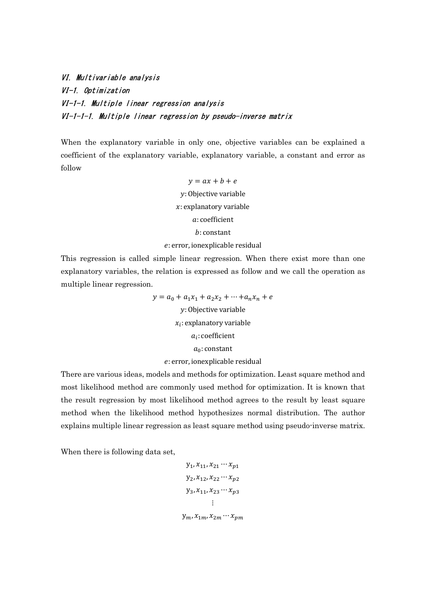VI. Multivariable analysis VI-1. Optimization VI-1-1. Multiple linear regression analysis VI-1-1-1. Multiple linear regression by pseudo-inverse matrix

When the explanatory variable in only one, objective variables can be explained a coefficient of the explanatory variable, explanatory variable, a constant and error as follow

> $y = ax + b + e$ : Objective variable  $x$ : explanatory variable : coefficient : constant

#### : error, ionexplicable residual

This regression is called simple linear regression. When there exist more than one explanatory variables, the relation is expressed as follow and we call the operation as multiple linear regression.

> $y = a_0 + a_1x_1 + a_2x_2 + \cdots + a_nx_n + e$ : Objective variable  $x_i$ : explanatory variable  $a_i$ : coefficient  $a_0$ : constant : error, ionexplicable residual

There are various ideas, models and methods for optimization. Least square method and most likelihood method are commonly used method for optimization. It is known that the result regression by most likelihood method agrees to the result by least square method when the likelihood method hypothesizes normal distribution. The author explains multiple linear regression as least square method using pseudo-inverse matrix.

When there is following data set,

$$
y_{1}, x_{11}, x_{21} \cdots x_{p1}
$$
  
\n
$$
y_{2}, x_{12}, x_{22} \cdots x_{p2}
$$
  
\n
$$
y_{3}, x_{11}, x_{23} \cdots x_{p3}
$$
  
\n:  
\n:  
\n
$$
y_{m}, x_{1m}, x_{2m} \cdots x_{pm}
$$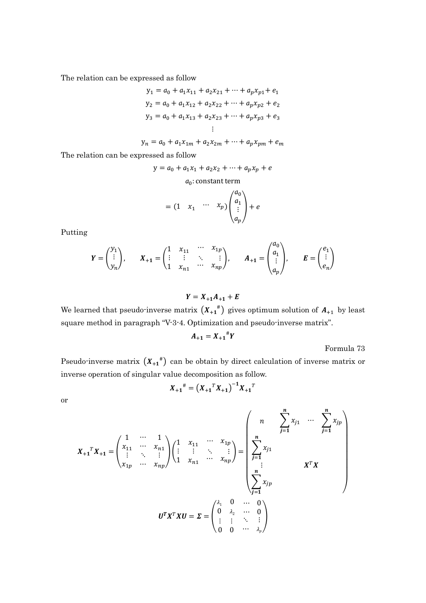The relation can be expressed as follow

$$
y_1 = a_0 + a_1 x_{11} + a_2 x_{21} + \dots + a_p x_{p1} + e_1
$$
  
\n
$$
y_2 = a_0 + a_1 x_{12} + a_2 x_{22} + \dots + a_p x_{p2} + e_2
$$
  
\n
$$
y_3 = a_0 + a_1 x_{13} + a_2 x_{23} + \dots + a_p x_{p3} + e_3
$$
  
\n
$$
\vdots
$$

 $y_n = a_0 + a_1 x_{1m} + a_2 x_{2m} + \dots + a_p x_{pm} + e_m$ 

The relation can be expressed as follow

$$
y = a_0 + a_1 x_1 + a_2 x_2 + \dots + a_p x_p + e
$$

 $a_0$ : constant term

$$
= (1 \quad x_1 \quad \cdots \quad x_p) \begin{pmatrix} a_0 \\ a_1 \\ \vdots \\ a_p \end{pmatrix} + e
$$

Putting

$$
Y = \begin{pmatrix} y_1 \\ \vdots \\ y_n \end{pmatrix}, \qquad X_{+1} = \begin{pmatrix} 1 & x_{11} & \cdots & x_{1p} \\ \vdots & \vdots & \ddots & \vdots \\ 1 & x_{n1} & \cdots & x_{np} \end{pmatrix}, \qquad A_{+1} = \begin{pmatrix} a_0 \\ a_1 \\ \vdots \\ a_p \end{pmatrix}, \qquad E = \begin{pmatrix} e_1 \\ \vdots \\ e_n \end{pmatrix}
$$

 $Y = X_{+1}A_{+1} + E$ 

We learned that pseudo-inverse matrix  $(X_{+1}^{\#})$  gives optimum solution of  $A_{+1}$  by least square method in paragraph "V-3-4. Optimization and pseudo-inverse matrix".

$$
A_{+1} = X_{+1}^{\#}Y
$$

Formula 73

Pseudo-inverse matrix  $(X_{+1}^{\#})$  can be obtain by direct calculation of inverse matrix or inverse operation of singular value decomposition as follow.

$$
X_{+1}^{\#} = (X_{+1}^{\ T}X_{+1})^{-1}X_{+1}^{\ T}
$$

or

$$
X_{+1}^{T}X_{+1} = \begin{pmatrix} 1 & \cdots & 1 \\ x_{11} & \cdots & x_{n1} \\ \vdots & \ddots & \vdots \\ x_{1p} & \cdots & x_{np} \end{pmatrix} \begin{pmatrix} 1 & x_{11} & \cdots & x_{1p} \\ \vdots & \vdots & \ddots & \vdots \\ 1 & x_{n1} & \cdots & x_{np} \end{pmatrix} = \begin{pmatrix} n & \sum_{j=1}^{n} x_{j1} & \cdots & \sum_{j=1}^{n} x_{jp} \\ \sum_{j=1}^{n} x_{j1} & & & \\ \vdots & & & X^{T}X \\ \sum_{j=1}^{n} x_{jp} & & \\ \vdots & \vdots & \ddots & \vdots \\ 0 & 0 & \cdots & \sum_{j=1}^{n} x_{jp} \end{pmatrix}
$$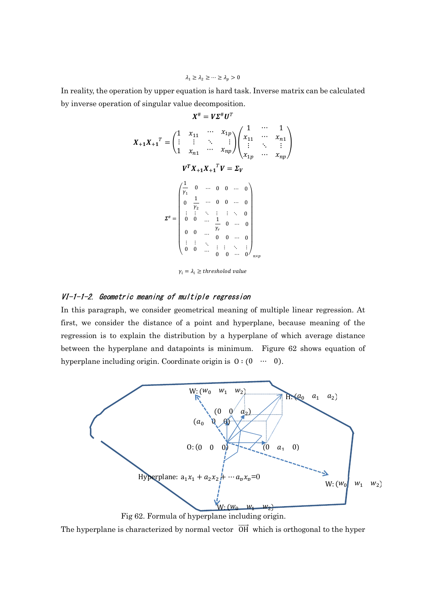In reality, the operation by upper equation is hard task. Inverse matrix can be calculated by inverse operation of singular value decomposition.

$$
X^{\#} = V\Sigma^{\#}U^{T}
$$
\n
$$
X_{+1}X_{+1}^{T} = \begin{pmatrix} 1 & x_{11} & \cdots & x_{1p} \\ \vdots & \vdots & \ddots & \vdots \\ 1 & x_{n1} & \cdots & x_{np} \end{pmatrix} \begin{pmatrix} 1 & \cdots & 1 \\ x_{11} & \cdots & x_{n1} \\ \vdots & \ddots & \vdots \\ x_{1p} & \cdots & x_{np} \end{pmatrix}
$$
\n
$$
V^{T}X_{+1}X_{+1}^{T}V = \Sigma_{V}
$$
\n
$$
\Sigma^{\#} = \begin{pmatrix} \frac{1}{r_{1}} & 0 & \cdots & 0 & 0 & \cdots & 0 \\ 0 & \frac{1}{r_{2}} & \cdots & 0 & 0 & \cdots & 0 \\ \vdots & \vdots & \ddots & \vdots & \vdots & \ddots & 0 \\ 0 & 0 & \cdots & \frac{1}{r_{r}} & 0 & \cdots & 0 \\ 0 & 0 & \cdots & \frac{1}{r_{r}} & 0 & \cdots & 0 \\ \vdots & \vdots & \ddots & \vdots & \vdots & \ddots & \vdots \\ 0 & 0 & \cdots & 0 & 0 & \cdots & 0 \end{pmatrix}_{n \times p}
$$

 $\gamma_i = \lambda_i \geq threshold$  value

### VI-1-1-2. Geometric meaning of multiple regression

In this paragraph, we consider geometrical meaning of multiple linear regression. At first, we consider the distance of a point and hyperplane, because meaning of the regression is to explain the distribution by a hyperplane of which average distance between the hyperplane and datapoints is minimum. Figure 62 shows equation of hyperplane including origin. Coordinate origin is O ∶ (0 ⋯ 0).



Fig 62. Formula of hyperplane including origin.

The hyperplane is characterized by normal vector  $\overrightarrow{OH}$  which is orthogonal to the hyper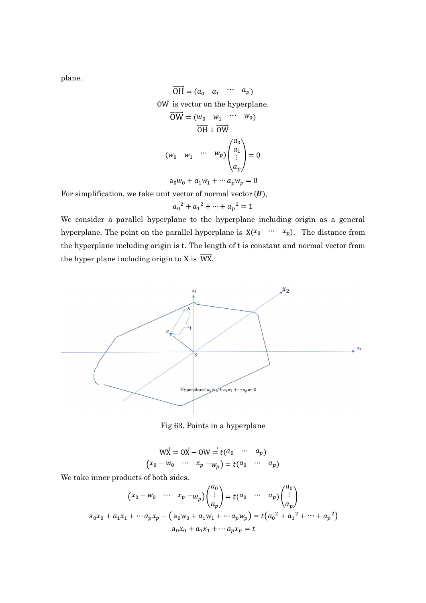plane.

$$
\overrightarrow{OH} = (a_0 \quad a_1 \quad \cdots \quad a_p)
$$
  
\n
$$
\overrightarrow{OW} \text{ is vector on the hyperplane.}
$$
  
\n
$$
\overrightarrow{OW} = (w_0 \quad w_1 \quad \cdots \quad w_0)
$$
  
\n
$$
\overrightarrow{OH} \perp \overrightarrow{OW}
$$
  
\n
$$
(w_0 \quad w_1 \quad \cdots \quad w_p) \begin{pmatrix} a_0 \\ a_1 \\ \vdots \\ a_p \end{pmatrix} = 0
$$

$$
a_0w_0 + a_1w_1 + \cdots a_pw_p = 0
$$

For simplification, we take unit vector of normal vector  $(U)$ .

$$
a_0^2 + a_1^2 + \dots + a_p^2 = 1
$$

We consider a parallel hyperplane to the hyperplane including origin as a general hyperplane. The point on the parallel hyperplane is  $X(\mathcal{X}_0 \cdots \mathcal{X}_p)$ . The distance from the hyperplane including origin is t. The length of t is constant and normal vector from the hyper plane including origin to X is  $\overrightarrow{WX}$ .



Fig 63. Points in a hyperplane

$$
\overrightarrow{WX} = \overrightarrow{OX} - \overrightarrow{OW} = t(a_0 \cdots a_p)
$$
  

$$
(x_0 - w_0 \cdots x_p - w_p) = t(a_0 \cdots a_p)
$$

We take inner products of both sides.

$$
(x_0 - w_0 \cdots x_p - w_p) \begin{pmatrix} a_0 \\ \vdots \\ a_p \end{pmatrix} = t(a_0 \cdots a_p) \begin{pmatrix} a_0 \\ \vdots \\ a_p \end{pmatrix}
$$
  
\n
$$
a_0x_0 + a_1x_1 + \cdots + a_px_p - (a_0w_0 + a_1w_1 + \cdots + a_pw_p) = t(a_0^2 + a_1^2 + \cdots + a_p^2)
$$
  
\n
$$
a_0x_0 + a_1x_1 + \cdots + a_px_p = t
$$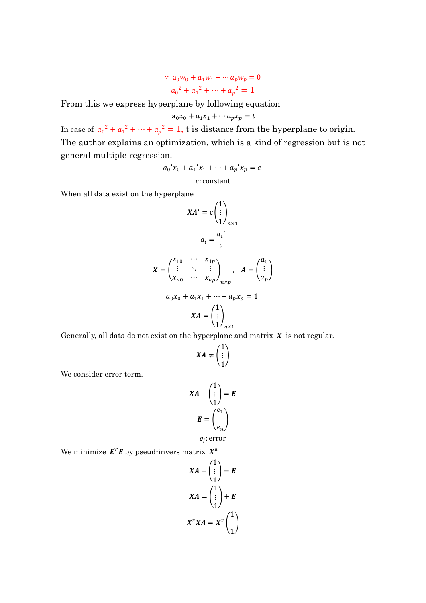$$
a_0w_0 + a_1w_1 + \cdots a_pw_p = 0
$$
  

$$
a_0^2 + a_1^2 + \cdots + a_p^2 = 1
$$

From this we express hyperplane by following equation

$$
a_0x_0 + a_1x_1 + \cdots a_px_p = t
$$

In case of  $a_0^2 + a_1^2 + \cdots + a_p^2 = 1$ , t is distance from the hyperplane to origin. The author explains an optimization, which is a kind of regression but is not general multiple regression.

$$
a_0'x_0 + a_1'x_1 + \dots + a_p'x_p = c
$$

: constant

When all data exist on the hyperplane

$$
XA' = c \begin{pmatrix} 1 \\ \vdots \\ 1 \end{pmatrix}_{n \times 1}
$$

$$
a_i = \frac{a_i'}{c}
$$

$$
X = \begin{pmatrix} x_{10} & \cdots & x_{1p} \\ \vdots & \ddots & \vdots \\ x_{n0} & \cdots & x_{np} \end{pmatrix}_{n \times p}, \quad A = \begin{pmatrix} a_0 \\ \vdots \\ a_p \end{pmatrix}
$$

$$
a_0 x_0 + a_1 x_1 + \cdots + a_p x_p = 1
$$

$$
XA = \begin{pmatrix} 1 \\ \vdots \\ 1 \end{pmatrix}_{n \times 1}
$$

Generally, all data do not exist on the hyperplane and matrix  $X$  is not regular.

$$
XA \neq \begin{pmatrix} 1 \\ \vdots \\ 1 \end{pmatrix}
$$

We consider error term.

$$
XA - \begin{pmatrix} 1 \\ \vdots \\ 1 \end{pmatrix} = E
$$

$$
E = \begin{pmatrix} e_1 \\ \vdots \\ e_n \end{pmatrix}
$$

$$
e_j: \text{error}
$$

We minimize  $E^T E$  by pseud-invers matrix  $X^{\#}$ 

$$
XA - \begin{pmatrix} 1 \\ \vdots \\ 1 \end{pmatrix} = E
$$

$$
XA = \begin{pmatrix} 1 \\ \vdots \\ 1 \end{pmatrix} + E
$$

$$
X^{\#}XA = X^{\#} \begin{pmatrix} 1 \\ \vdots \\ 1 \end{pmatrix}
$$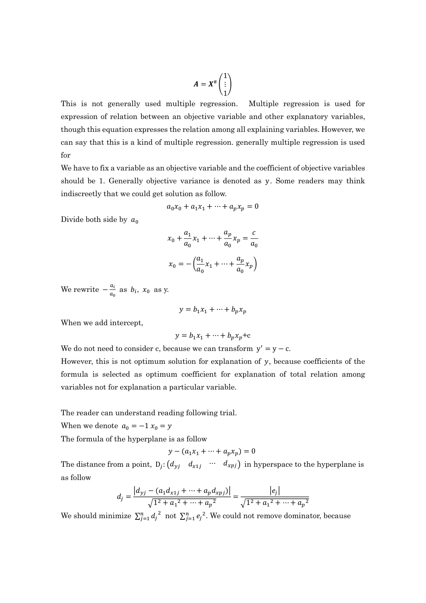$$
A=X^{\#}\begin{pmatrix}1\\ \vdots\\ 1\end{pmatrix}
$$

This is not generally used multiple regression. Multiple regression is used for expression of relation between an objective variable and other explanatory variables, though this equation expresses the relation among all explaining variables. However, we can say that this is a kind of multiple regression. generally multiple regression is used for

We have to fix a variable as an objective variable and the coefficient of objective variables should be 1. Generally objective variance is denoted as y. Some readers may think indiscreetly that we could get solution as follow.

$$
a_0 x_0 + a_1 x_1 + \dots + a_p x_p = 0
$$

Divide both side by  $a_0$ 

$$
x_0 + \frac{a_1}{a_0}x_1 + \dots + \frac{a_p}{a_0}x_p = \frac{c}{a_0}
$$

$$
x_0 = -\left(\frac{a_1}{a_0}x_1 + \dots + \frac{a_p}{a_0}x_p\right)
$$

We rewrite  $-\frac{a_i}{a_i}$  $\frac{a_i}{a_0}$  as  $b_i$ ,  $x_0$  as y.

$$
y = b_1 x_1 + \dots + b_p x_p
$$

When we add intercept,

$$
y = b_1 x_1 + \dots + b_p x_p + c
$$

We do not need to consider c, because we can transform  $y' = y - c$ .

However, this is not optimum solution for explanation of  $y$ , because coefficients of the formula is selected as optimum coefficient for explanation of total relation among variables not for explanation a particular variable.

The reader can understand reading following trial.

When we denote  $a_0 = -1 x_0 = y$ 

The formula of the hyperplane is as follow

$$
y - (a_1x_1 + \dots + a_px_p) = 0
$$

The distance from a point,  $D_j$ :  $(d_{yj} \ d_{x1j} \cdots d_{xpj})$  in hyperspace to the hyperplane is as follow

$$
d_j = \frac{|d_{yj} - (a_1d_{x1j} + \dots + a_p d_{xpj})|}{\sqrt{1^2 + a_1^2 + \dots + a_p^2}} = \frac{|e_j|}{\sqrt{1^2 + a_1^2 + \dots + a_p^2}}
$$

We should minimize  $\sum_{j=1}^{n} d_j^2$  not  $\sum_{j=1}^{n} e_j^2$ . We could not remove dominator, because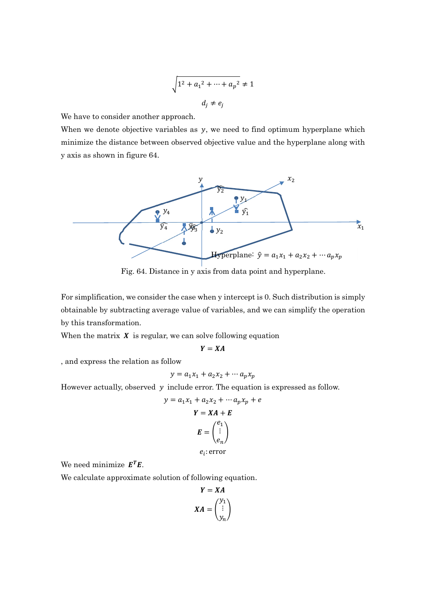$$
\sqrt{1^2 + a_1^2 + \dots + a_p^2} \neq 1
$$
  

$$
d_j \neq e_j
$$

We have to consider another approach.

When we denote objective variables as  $y$ , we need to find optimum hyperplane which minimize the distance between observed objective value and the hyperplane along with y axis as shown in figure 64.



Fig. 64. Distance in y axis from data point and hyperplane.

For simplification, we consider the case when y intercept is 0. Such distribution is simply obtainable by subtracting average value of variables, and we can simplify the operation by this transformation.

When the matrix  $\boldsymbol{X}$  is regular, we can solve following equation

$$
Y = XA
$$

, and express the relation as follow

$$
y = a_1 x_1 + a_2 x_2 + \cdots a_p x_p
$$

However actually, observed  $y$  include error. The equation is expressed as follow.

$$
y = a_1 x_1 + a_2 x_2 + \cdots a_p x_p + e
$$

$$
Y = XA + E
$$

$$
E = \begin{pmatrix} e_1 \\ \vdots \\ e_n \end{pmatrix}
$$

$$
e_i:
$$
 error

We need minimize  $E^T E$ .

We calculate approximate solution of following equation.

$$
Y = XA
$$

$$
XA = \begin{pmatrix} y_1 \\ \vdots \\ y_n \end{pmatrix}
$$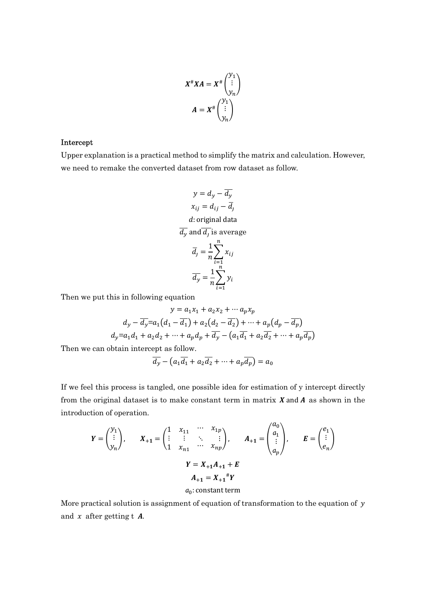$$
X^{\#}XA = X^{\#} \begin{pmatrix} y_1 \\ \vdots \\ y_n \end{pmatrix}
$$

$$
A = X^{\#} \begin{pmatrix} y_1 \\ \vdots \\ y_n \end{pmatrix}
$$

### Intercept

Upper explanation is a practical method to simplify the matrix and calculation. However, we need to remake the converted dataset from row dataset as follow.

$$
y = d_y - \overline{d_y}
$$
  
\n
$$
x_{ij} = d_{ij} - \overline{d_j}
$$
  
\nd: original data  
\n
$$
\overline{d_y}
$$
 and 
$$
\overline{d_j}
$$
 is average  
\n
$$
\overline{d_y} = \frac{1}{n} \sum_{i=1}^{n} x_{ij}
$$
  
\n
$$
\overline{d_y} = \frac{1}{n} \sum_{i=1}^{n} y_i
$$

Then we put this in following equation

$$
y = a_1x_1 + a_2x_2 + \cdots a_px_p
$$
  
\n
$$
d_y - \overline{d_y} = a_1(d_1 - \overline{d_1}) + a_2(d_2 - \overline{d_2}) + \cdots + a_p(d_p - \overline{d_p})
$$
  
\n
$$
d_y = a_1d_1 + a_2d_2 + \cdots + a_pd_p + \overline{d_y} - (a_1\overline{d_1} + a_2\overline{d_2} + \cdots + a_p\overline{d_p})
$$

Then we can obtain intercept as follow.

$$
\overline{d_y} - (a_1\overline{d_1} + a_2\overline{d_2} + \dots + a_p\overline{d_p}) = a_0
$$

If we feel this process is tangled, one possible idea for estimation of y intercept directly from the original dataset is to make constant term in matrix  $X$  and  $A$  as shown in the introduction of operation.

 $\sqrt{a}$ 

$$
Y = \begin{pmatrix} y_1 \\ \vdots \\ y_n \end{pmatrix}, \qquad X_{+1} = \begin{pmatrix} 1 & x_{11} & \cdots & x_{1p} \\ \vdots & \vdots & \ddots & \vdots \\ 1 & x_{n1} & \cdots & x_{np} \end{pmatrix}, \qquad A_{+1} = \begin{pmatrix} a_0 \\ a_1 \\ \vdots \\ a_p \end{pmatrix}, \qquad E = \begin{pmatrix} e_1 \\ \vdots \\ e_n \end{pmatrix}
$$

$$
Y = X_{+1}A_{+1} + E
$$

$$
A_{+1} = X_{+1}^{\#}Y
$$

$$
a_0: \text{constant term}
$$

More practical solution is assignment of equation of transformation to the equation of  $y$ and  $x$  after getting t  $A$ .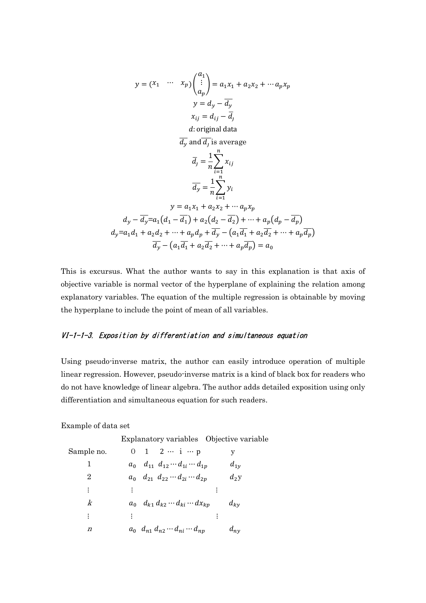$$
y = (x_1 \cdots x_p) \begin{pmatrix} a_1 \\ \vdots \\ a_p \end{pmatrix} = a_1 x_1 + a_2 x_2 + \cdots a_p x_p
$$
  
\n
$$
y = d_y - \overline{d_y}
$$
  
\n
$$
x_{ij} = d_{ij} - \overline{d_j}
$$
  
\nd: original data  
\n
$$
\overline{d_y} \text{ and } \overline{d_j} \text{ is average}
$$
  
\n
$$
\overline{d_y} = \frac{1}{n} \sum_{i=1}^n x_{ij}
$$
  
\n
$$
\overline{d_y} = \frac{1}{n} \sum_{i=1}^n y_i
$$
  
\n
$$
y = a_1 x_1 + a_2 x_2 + \cdots a_p x_p
$$
  
\n
$$
d_y - \overline{d_y} = a_1 (d_1 - \overline{d_1}) + a_2 (d_2 - \overline{d_2}) + \cdots + a_p (d_p - \overline{d_p})
$$
  
\n
$$
d_y = a_1 d_1 + a_2 d_2 + \cdots + a_p d_p + \overline{d_y} - (a_1 \overline{d_1} + a_2 \overline{d_2} + \cdots + a_p \overline{d_p})
$$
  
\n
$$
\overline{d_y} - (a_1 \overline{d_1} + a_2 \overline{d_2} + \cdots + a_p \overline{d_p}) = a_0
$$

This is excursus. What the author wants to say in this explanation is that axis of objective variable is normal vector of the hyperplane of explaining the relation among explanatory variables. The equation of the multiple regression is obtainable by moving the hyperplane to include the point of mean of all variables.

# VI-1-1-3. Exposition by differentiation and simultaneous equation

Using pseudo-inverse matrix, the author can easily introduce operation of multiple linear regression. However, pseudo-inverse matrix is a kind of black box for readers who do not have knowledge of linear algebra. The author adds detailed exposition using only differentiation and simultaneous equation for such readers.

Example of data set

Explanatory variables Objective variable

| Sample no.       | 0 1 2 $\cdots$ i $\cdots$ p                                                                                                                                                                                                                                                                                                                                                                                                                                            | y        |
|------------------|------------------------------------------------------------------------------------------------------------------------------------------------------------------------------------------------------------------------------------------------------------------------------------------------------------------------------------------------------------------------------------------------------------------------------------------------------------------------|----------|
|                  | $a_0$ $d_{11}$ $d_{12}$ $\cdots$ $d_{1i}$ $\cdots$ $d_{1p}$                                                                                                                                                                                                                                                                                                                                                                                                            | $d_{1v}$ |
| $\overline{2}$   | $a_0$ $d_{21}$ $d_{22}$ $\cdots$ $d_{2i}$ $\cdots$ $d_{2p}$                                                                                                                                                                                                                                                                                                                                                                                                            | $d_2y$   |
| ፡                | $\mathbf{E} = \left\{ \mathbf{E} \left( \mathbf{E} \right) \mathbf{E} \left( \mathbf{E} \right) \mathbf{E} \left( \mathbf{E} \right) \mathbf{E} \right) \mathbf{E} \left( \mathbf{E} \right) \mathbf{E} \left( \mathbf{E} \right) \mathbf{E} \left( \mathbf{E} \right) \mathbf{E} \left( \mathbf{E} \right) \mathbf{E} \left( \mathbf{E} \right) \mathbf{E} \left( \mathbf{E} \right) \mathbf{E} \left( \mathbf{E} \right) \mathbf{E} \left( \mathbf{E} \right) \math$ |          |
| k                | $a_0$ $d_{k1}$ $d_{k2}$ $\cdots$ $d_{ki}$ $\cdots$ $d x_{kp}$                                                                                                                                                                                                                                                                                                                                                                                                          | $d_{kv}$ |
| ፡                |                                                                                                                                                                                                                                                                                                                                                                                                                                                                        |          |
| $\boldsymbol{n}$ | $a_0$ $d_{n1}$ $d_{n2}$ $\cdots$ $d_{ni}$ $\cdots$ $d_{np}$                                                                                                                                                                                                                                                                                                                                                                                                            | $d_{ny}$ |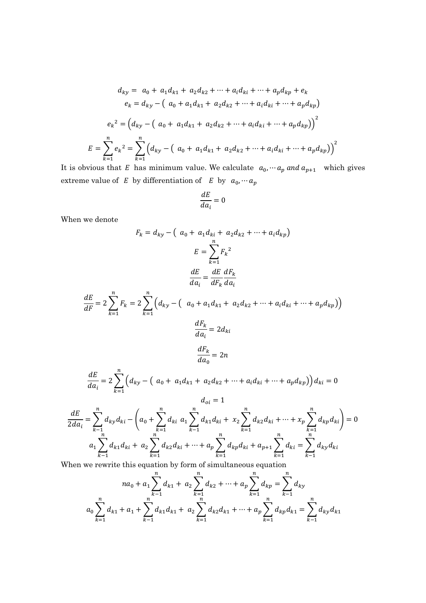$$
d_{ky} = a_0 + a_1 d_{k1} + a_2 d_{k2} + \dots + a_i d_{ki} + \dots + a_p d_{kp} + e_k
$$
  
\n
$$
e_k = d_{ky} - (a_0 + a_1 d_{k1} + a_2 d_{k2} + \dots + a_i d_{ki} + \dots + a_p d_{kp})
$$
  
\n
$$
e_k^2 = (d_{ky} - (a_0 + a_1 d_{k1} + a_2 d_{k2} + \dots + a_i d_{ki} + \dots + a_p d_{kp}))^2
$$
  
\n
$$
E = \sum_{k=1}^n e_k^2 = \sum_{k=1}^n (d_{ky} - (a_0 + a_1 d_{k1} + a_2 d_{k2} + \dots + a_i d_{ki} + \dots + a_p d_{kp}))^2
$$

It is obvious that E has minimum value. We calculate  $a_0, \dotsb, a_p$  and  $a_{p+1}$  which gives extreme value of  $E$  by differentiation of  $E$  by  $a_0, \dotsb, a_p$ 

$$
\frac{dE}{da_i}=0
$$

When we denote

$$
F_k = d_{ky} - \left(a_0 + a_1 d_{ki} + a_2 d_{k2} + \dots + a_i d_{kp}\right)
$$

$$
E = \sum_{k=1}^n F_k^2
$$

$$
\frac{dE}{da_i} = \frac{dE}{dF_k} \frac{dF_k}{da_i}
$$

$$
\frac{dE}{dF} = 2 \sum_{k=1}^{n} F_k = 2 \sum_{k=1}^{n} \left( d_{ky} - \left( a_0 + a_1 d_{k1} + a_2 d_{k2} + \dots + a_i d_{ki} + \dots + a_p d_{kp} \right) \right)
$$
  

$$
\frac{dF_k}{da_i} = 2 d_{ki}
$$
  

$$
\frac{dF_k}{da_0} = 2n
$$
  

$$
\frac{dE}{da_i} = 2 \sum_{k=1}^{n} \left( d_{ky} - \left( a_0 + a_1 d_{k1} + a_2 d_{k2} + \dots + a_i d_{ki} + \dots + a_p d_{kp} \right) \right) d_{ki} = 0
$$
  

$$
d_{oi} = 1
$$

$$
\frac{dE}{2da_i} = \sum_{k=1}^n d_{ky}d_{ki} - \left(a_0 + \sum_{k=1}^n d_{ki} a_1 \sum_{k=1}^n d_{k1}d_{ki} + x_2 \sum_{k=1}^n d_{k2}d_{ki} + \dots + x_p \sum_{k=1}^n d_{kp}d_{ki}\right) = 0
$$
\n
$$
a_1 \sum_{k=1}^n d_{k1}d_{ki} + a_2 \sum_{k=1}^n d_{k2}d_{ki} + \dots + a_p \sum_{k=1}^n d_{kp}d_{ki} + a_{p+1} \sum_{k=1}^n d_{ki} = \sum_{k=1}^n d_{ky}d_{ki}
$$
\nThen we rewrite this equation by form of simultaneous equation

When we rewrite this equation by form of simultaneous equation

$$
na_0 + a_1 \sum_{k=1}^n d_{k1} + a_2 \sum_{k=1}^n d_{k2} + \dots + a_p \sum_{k=1}^n d_{kp} = \sum_{k=1}^n d_{ky}
$$
  

$$
a_0 \sum_{k=1}^n d_{k1} + a_1 + \sum_{k=1}^n d_{k1} d_{k1} + a_2 \sum_{k=1}^n d_{k2} d_{k1} + \dots + a_p \sum_{k=1}^n d_{kp} d_{k1} = \sum_{k=1}^n d_{ky} d_{k1}
$$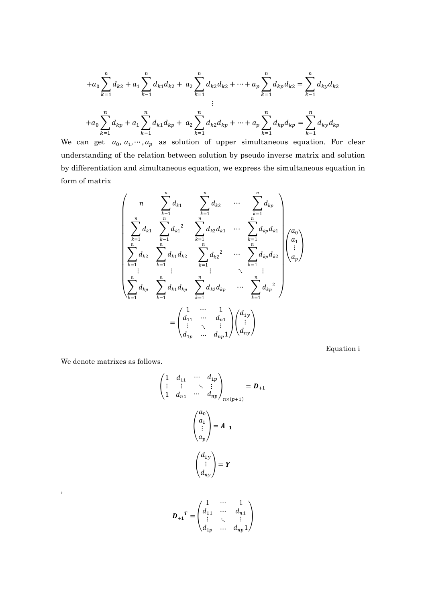$$
+a_0\sum_{k=1}^n d_{k2} + a_1\sum_{k=1}^n d_{k1}d_{k2} + a_2\sum_{k=1}^n d_{k2}d_{k2} + \dots + a_p\sum_{k=1}^n d_{kp}d_{k2} = \sum_{k=1}^n d_{ky}d_{k2}
$$
  
+
$$
+a_0\sum_{k=1}^n d_{kp} + a_1\sum_{k=1}^n d_{k1}d_{kp} + a_2\sum_{k=1}^n d_{k2}d_{kp} + \dots + a_p\sum_{k=1}^n d_{kp}d_{kp} = \sum_{k=1}^n d_{ky}d_{kp}
$$

We can get  $a_0, a_1, \dots, a_p$  as solution of upper simultaneous equation. For clear understanding of the relation between solution by pseudo inverse matrix and solution by differentiation and simultaneous equation, we express the simultaneous equation in form of matrix

$$
\begin{pmatrix}\nn & \sum_{k=1}^{n} d_{k1} & \sum_{k=1}^{n} d_{k2} & \cdots & \sum_{k=1}^{n} d_{kp} \\
\sum_{k=1}^{n} d_{k1} & \sum_{k=1}^{n} d_{k1}^{2} & \sum_{k=1}^{n} d_{k2} d_{k1} & \cdots & \sum_{k=1}^{n} d_{kp} d_{k1} \\
\sum_{k=1}^{n} d_{k2} & \sum_{k=1}^{n} d_{k1} d_{k2} & \sum_{k=1}^{n} d_{k2}^{2} & \cdots & \sum_{k=1}^{n} d_{kp} d_{k2} \\
\vdots & \vdots & \vdots & \ddots & \vdots \\
\sum_{k=1}^{n} d_{kp} & \sum_{k=1}^{n} d_{k1} d_{kp} & \sum_{k=1}^{n} d_{k2} d_{kp} & \cdots & \sum_{k=1}^{n} d_{kp}^{2} \\
= \begin{pmatrix}\n1 & \cdots & 1 \\
d_{11} & \cdots & d_{n1} \\
\vdots & \ddots & \vdots \\
d_{1p} & \cdots & d_{np}^{2}\n\end{pmatrix}\n\begin{pmatrix}\nd_{1y} \\
\vdots \\
d_{ny}\n\end{pmatrix}
$$

Equation i

We denote matrixes as follows.

,

$$
\begin{pmatrix}\n1 & d_{11} & \cdots & d_{1p} \\
\vdots & \vdots & \ddots & \vdots \\
1 & d_{n1} & \cdots & d_{np}\n\end{pmatrix}_{n \times (p+1)} = D_{+1}
$$
\n
$$
\begin{pmatrix}\na_0 \\
a_1 \\
\vdots \\
a_p\n\end{pmatrix} = A_{+1}
$$
\n
$$
\begin{pmatrix}\nd_{1y} \\
\vdots \\
d_{ny}\n\end{pmatrix} = Y
$$
\n
$$
D_{+1}^T = \begin{pmatrix}\n1 & \cdots & 1 \\
d_{11} & \cdots & d_{n1} \\
\vdots & \ddots & \vdots \\
d_{1p} & \cdots & d_{np}1\n\end{pmatrix}
$$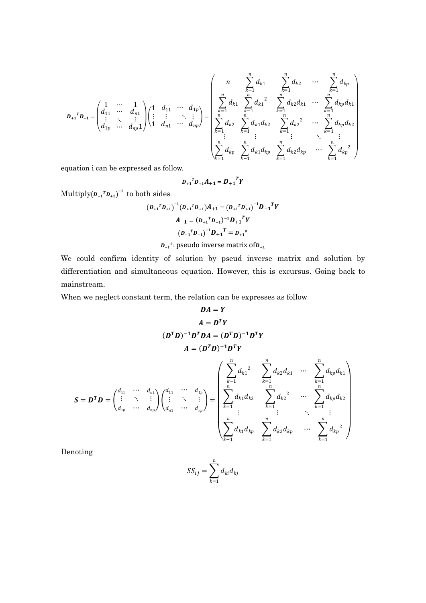$$
D_{+1}^T D_{+1} = \begin{pmatrix} 1 & \cdots & 1 \\ d_{11} & \cdots & d_{n1} \\ \vdots & \ddots & \vdots \\ d_{1p} & \cdots & d_{np} \end{pmatrix} \begin{pmatrix} 1 & d_{11} & \cdots & d_{1p} \\ \vdots & \vdots & \ddots & \vdots \\ 1 & d_{n1} & \cdots & d_{np} \end{pmatrix} = \begin{pmatrix} n & \sum_{k=1}^n d_{k1} & \sum_{k=1}^n d_{k2} & \cdots & \sum_{k=1}^n d_{kp} \\ \sum_{k=1}^n d_{k1} & \sum_{k=1}^n d_{k1}^2 & \sum_{k=1}^n d_{k2} d_{k1} & \cdots & \sum_{k=1}^n d_{kp} d_{k1} \\ \sum_{k=1}^n d_{k2} & \sum_{k=1}^n d_{k1} d_{k2} & \sum_{k=1}^n d_{k2}^2 & \cdots & \sum_{k=1}^n d_{kp} d_{k2} \\ \vdots & \vdots & \vdots & \ddots & \vdots \\ \sum_{k=1}^n d_{kp} & \sum_{k=1}^n d_{k1} d_{kp} & \sum_{k=1}^n d_{k2} d_{kp} & \cdots & \sum_{k=1}^n d_{kp}^2 \end{pmatrix}
$$

equation i can be expressed as follow.

$$
D_{+1}{}^T D_{+1} A_{+1} = D_{+1}{}^T Y
$$

Multiply $(D_{+1}^T D_{+1})^{-1}$  to both sides.

$$
(D_{+1} {}^{T} D_{+1})^{-1} (D_{+1} {}^{T} D_{+1}) A_{+1} = (D_{+1} {}^{T} D_{+1})^{-1} D_{+1} {}^{T} Y
$$
  

$$
A_{+1} = (D_{+1} {}^{T} D_{+1})^{-1} D_{+1} {}^{T} Y
$$
  

$$
(D_{+1} {}^{T} D_{+1})^{-1} D_{+1} {}^{T} = D_{+1} {}^{*}
$$

 $D_{+1}$ <sup>#</sup>: pseudo inverse matrix of $D_{+1}$ 

We could confirm identity of solution by pseud inverse matrix and solution by differentiation and simultaneous equation. However, this is excursus. Going back to mainstream.

When we neglect constant term, the relation can be expresses as follow

$$
DA = Y
$$
  
\n
$$
A = D^{T}Y
$$
  
\n
$$
(D^{T}D)^{-1}D^{T}DA = (D^{T}D)^{-1}D^{T}Y
$$
  
\n
$$
A = (D^{T}D)^{-1}D^{T}Y
$$
  
\n
$$
S = D^{T}D = \begin{pmatrix} d_{11} & \cdots & d_{n1} \\ \vdots & \ddots & \vdots \\ d_{1p} & \cdots & d_{np} \end{pmatrix} \begin{pmatrix} d_{11} & \cdots & d_{1p} \\ \vdots & \ddots & \vdots \\ d_{n1} & \cdots & d_{np} \end{pmatrix} = \begin{pmatrix} \sum_{k=1}^{n} d_{k1}^{2} & \sum_{k=1}^{n} d_{k2}^{2} d_{k1} & \cdots & \sum_{k=1}^{n} d_{kp}^{2} d_{k1} \\ \sum_{k=1}^{n} d_{k1}^{2} d_{k2} & \sum_{k=1}^{n} d_{k2}^{2} & \cdots & \sum_{k=1}^{n} d_{kp}^{2} d_{k2} \\ \vdots & \vdots & \ddots & \vdots \\ \sum_{k=1}^{n} d_{k1}^{2} d_{kp} & \sum_{k=1}^{n} d_{k2}^{2} d_{kp} & \cdots & \sum_{k=1}^{n} d_{kp}^{2} \end{pmatrix}
$$

Denoting

$$
SS_{ij} = \sum_{k=1}^{n} d_{ki} d_{kj}
$$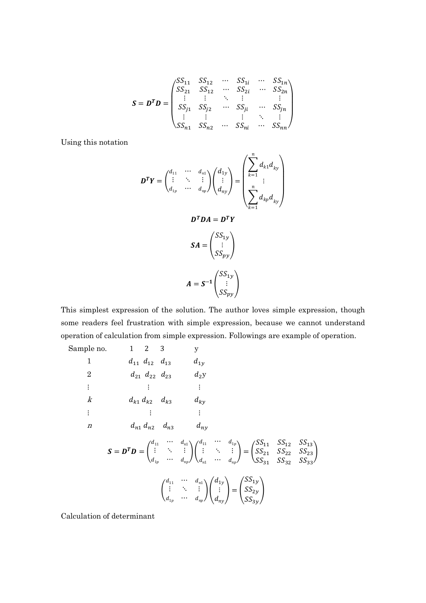$$
S = DT D = \begin{pmatrix} S S_{11} & S S_{12} & \cdots & S S_{1i} & \cdots & S S_{1n} \\ S S_{21} & S S_{12} & \cdots & S S_{2i} & \cdots & S S_{2n} \\ \vdots & \vdots & \ddots & \vdots & & \vdots \\ S S_{j1} & S S_{j2} & \cdots & S S_{ji} & \cdots & S S_{jn} \\ \vdots & \vdots & & \vdots & \ddots & \vdots \\ S S_{n1} & S S_{n2} & \cdots & S S_{ni} & \cdots & S S_{nn} \end{pmatrix}
$$

Using this notation

$$
\mathbf{D}^T \mathbf{Y} = \begin{pmatrix} d_{11} & \cdots & d_{n1} \\ \vdots & \ddots & \vdots \\ d_{1p} & \cdots & d_{np} \end{pmatrix} \begin{pmatrix} d_{1y} \\ \vdots \\ d_{ny} \end{pmatrix} = \begin{pmatrix} \sum_{k=1}^n d_{k1} d_{ky} \\ \vdots \\ \sum_{k=1}^n d_{kp} d_{ky} \end{pmatrix}
$$

$$
\mathbf{D}^T \mathbf{D} \mathbf{A} = \mathbf{D}^T \mathbf{Y}
$$

$$
\mathbf{S} \mathbf{A} = \begin{pmatrix} S S_{1y} \\ \vdots \\ S S_{py} \end{pmatrix}
$$

$$
\mathbf{A} = \mathbf{S}^{-1} \begin{pmatrix} S S_{1y} \\ \vdots \\ S S_{py} \end{pmatrix}
$$

This simplest expression of the solution. The author loves simple expression, though some readers feel frustration with simple expression, because we cannot understand operation of calculation from simple expression. Followings are example of operation.

Sample no. 1 2 3 y  
\n1 d<sub>11</sub> d<sub>12</sub> d<sub>13</sub> d<sub>1y</sub>  
\n2 d<sub>21</sub> d<sub>22</sub> d<sub>23</sub> d<sub>2y</sub>  
\n
$$
\vdots \t\t\t\t\vdots \t\t\t\t\vdots \t\t\t\t\vdots
$$
  
\n $k$  d<sub>k1</sub> d<sub>k2</sub> d<sub>k3</sub> d<sub>ky</sub>  
\n $\vdots \t\t\t\t\vdots \t\t\t\t\vdots \t\t\t\t\vdots$   
\n $n$  d<sub>n1</sub> d<sub>n2</sub> d<sub>n3</sub> d<sub>ny</sub>  
\n $\mathbf{S} = \mathbf{D}^T \mathbf{D} = \begin{pmatrix} d_{11} & \cdots & d_{n1} \\ \vdots & \ddots & \vdots \\ d_{1p} & \cdots & d_{np} \end{pmatrix} \begin{pmatrix} d_{11} & \cdots & d_{1p} \\ \vdots & \ddots & \vdots \\ d_{n1} & \cdots & d_{np} \end{pmatrix} = \begin{pmatrix} S S_{11} & S S_{12} & S S_{13} \\ S S_{21} & S S_{22} & S S_{23} \\ S S_{31} & S S_{32} & S S_{33} \end{pmatrix}$   
\n $\begin{pmatrix} d_{11} & \cdots & d_{n1} \\ \vdots & \ddots & \vdots \\ d_{1p} & \cdots & d_{np} \end{pmatrix} \begin{pmatrix} d_{1y} \\ \vdots \\ d_{ny} \end{pmatrix} = \begin{pmatrix} S S_{1y} \\ S S_{2y} \\ S S_{3y} \end{pmatrix}$ 

Calculation of determinant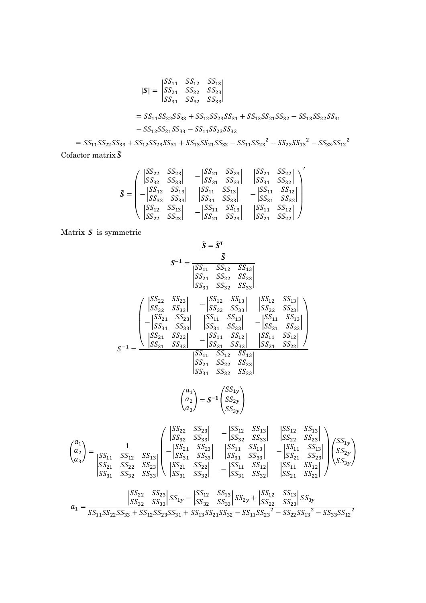$$
|\mathbf{S}| = \begin{vmatrix} SS_{11} & SS_{12} & SS_{13} \\ SS_{21} & SS_{22} & SS_{23} \\ SS_{31} & SS_{32} & SS_{33} \end{vmatrix}
$$
\n
$$
= SS_{11}SS_{22}SS_{33} + SS_{12}SS_{23}SS_{31} + SS_{13}SS_{21}SS_{32} - SS_{13}SS_{22}SS_{31}
$$
\n
$$
-SS_{12}SS_{21}SS_{33} - SS_{11}SS_{23}SS_{32}
$$

 $= SS_{11}SS_{22}SS_{33} + SS_{12}SS_{23}SS_{31} + SS_{13}SS_{21}SS_{32} - SS_{11}SS_{23}^{2} - SS_{22}SS_{13}^{2} - SS_{33}SS_{12}^{2}$ Cofactor matrix  $\tilde{\boldsymbol{S}}$ 

$$
\tilde{\boldsymbol{S}} = \begin{pmatrix}\n|S_{22} & SS_{23} | & -|SS_{21} & SS_{23} | & |SS_{21} & SS_{22} | \\
|SS_{32} & SS_{33} | & -|SS_{31} & SS_{33} | & |SS_{31} & SS_{32} | \\
-|SS_{12} & SS_{33} | & |SS_{11} & SS_{13} | & -|SS_{11} & SS_{12} | \\
|SS_{12} & SS_{13} | & |SS_{11} & SS_{33} | & -|SS_{11} & SS_{12} | \\
|SS_{22} & SS_{23} | & -|SS_{11} & SS_{13} | & |SS_{11} & SS_{12} | \\
|SS_{22} & SS_{23} | & -|SS_{21} & SS_{23} | & |SS_{21} & SS_{22}|\n\end{pmatrix}^{\prime}
$$

Matrix  $S$  is symmetric

 $\lceil$  $a_1$  $a<sub>2</sub>$  $a_3$ 

 $SS_{31}$   $SS_{32}$   $SS_{33}$ 

$$
\tilde{S} = \tilde{S}^{T}
$$
\n
$$
S^{-1} = \frac{\tilde{S}}{\begin{vmatrix} SS_{11} & S S_{12} & S S_{13} \\ S S_{21} & S S_{22} & S S_{23} \\ S S_{31} & S S_{32} & S S_{33} \end{vmatrix}} \begin{vmatrix} SS_{12} & S S_{13} \\ S S_{21} & S S_{22} & S S_{33} \end{vmatrix}} \begin{vmatrix} SS_{12} & S S_{13} \\ SS_{22} & S S_{23} \\ SS_{23} & S S_{33} \end{vmatrix} - \begin{vmatrix} S S_{12} & S S_{13} \\ S S S_{21} & S S_{23} \\ S S_{31} & S S_{33} \end{vmatrix}} \begin{vmatrix} SS_{12} & S S_{13} \\ S S S_{21} & S S_{23} \\ S S_{31} & S S_{33} \end{vmatrix}} - \begin{vmatrix} S S_{11} & S S_{12} \\ S S S_{21} & S S_{23} \\ S S S_{31} & S S_{32} \end{vmatrix}} - \begin{vmatrix} S S_{11} & S S_{12} \\ S S S_{21} & S S_{23} \\ S S S_{21} & S S_{23} \end{vmatrix}} \begin{vmatrix} S S_{11} & S S_{12} \\ S S S_{21} & S S_{23} \\ S S S_{31} & S S_{32} \end{vmatrix}} - \begin{vmatrix} S S_{11} & S S_{12} \\ S S S_{21} & S S_{23} \\ S S S_{33} \end{vmatrix}}
$$
\n
$$
\begin{pmatrix} a_1 \\ a_2 \\ a_3 \end{pmatrix} = S^{-1} \begin{pmatrix} S S_{12} \\ S S_{22} \\ S S_{33} \end{pmatrix}
$$
\n
$$
\begin{pmatrix} a_1 \\ a_2 \\ a_3 \end{pmatrix} = S^{-1} \begin{bmatrix} S S_{12} & S S_{13} \\ S S S_{23} \\ S S S_{33} \end{pmatrix} - \begin{vmatrix} S S_{12} & S S_{13} \\ S S S_{23} \\ S S S_{33} \end{vmatrix} - \begin{vmatrix} S S_{12} & S S_{13} \\ S S S_{23} \\ S S S_{23} \
$$

$$
a_1=\frac{\begin{vmatrix} S\boldsymbol{S}_{22} & S\boldsymbol{S}_{23} \end{vmatrix} S\boldsymbol{S}_{1y}-\begin{vmatrix} S\boldsymbol{S}_{12} & S\boldsymbol{S}_{13} \end{vmatrix} S\boldsymbol{S}_{2y}+\begin{vmatrix} S\boldsymbol{S}_{12} & S\boldsymbol{S}_{13} \end{vmatrix} S\boldsymbol{S}_{3y}}{S\boldsymbol{S}_{11}S\boldsymbol{S}_{22}S\boldsymbol{S}_{33}+S\boldsymbol{S}_{12}S\boldsymbol{S}_{23}S\boldsymbol{S}_{31}+S\boldsymbol{S}_{13}S\boldsymbol{S}_{21}S\boldsymbol{S}_{32}-S\boldsymbol{S}_{11}S\boldsymbol{S}_{23}^2-S\boldsymbol{S}_{22}S\boldsymbol{S}_{13}^2-S\boldsymbol{S}_{33}S\boldsymbol{S}_{12}^2}
$$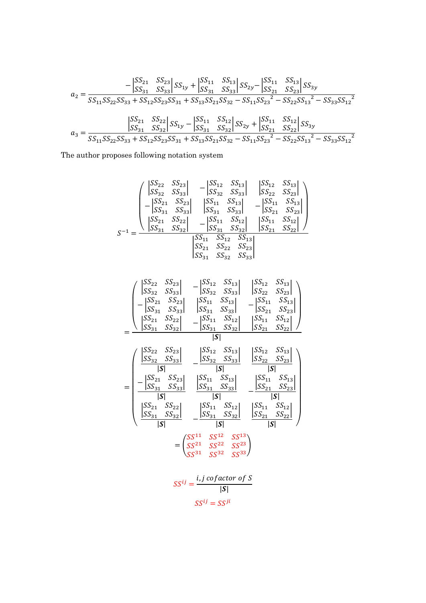$$
a_2 = \frac{-\begin{vmatrix} SS_{21} & SS_{23} \ S_{31} & SS_{13} \ S_{31} & SS_{11} & SS_{13} \ S_{31} & SS_{2y} \end{vmatrix} S_{2y} - \begin{vmatrix} SS_{11} & SS_{13} \ S_{21} & SS_{23} \ S_{22} & SS_{23} \end{vmatrix} S_{3y}}{SS_{11}SS_{22}SS_{33} + SS_{12}SS_{23}SS_{31} + SS_{13}SS_{21}SS_{32} - SS_{11}SS_{23}^2 - SS_{22}SS_{13}^2 - SS_{33}SS_{12}^2}
$$

$$
a_3 = \frac{\begin{vmatrix} SS_{21} & SS_{22} \ SS_{23} \ SS_{31} & SS_{22} \ SS_{31} - \begin{vmatrix} SS_{11} & SS_{12} \ SS_{31} & SS_{22} \ SS_{32} \end{vmatrix} S_{31} \ S_{31} & SS_{32} \end{vmatrix} S_{31} - \begin{vmatrix} SS_{11} & SS_{12} \ SS_{22} \ SS_{32} + \begin{vmatrix} SS_{11} & SS_{12} \ SS_{21} & SS_{22} \ SS_{32} \end{vmatrix} S_{32} - \begin{vmatrix} SS_{21} & SS_{22} \ SS_{32} \ SS_{31} \end{vmatrix} S_{32} - \begin{vmatrix} SS_{21} & SS_{22} \ SS_{32} \ S_{31} & SS_{22} & SS_{31} \end{vmatrix} S_{32} - \begin{vmatrix} SS_{21} & SS_{22} \ SS_{32} \ S_{31} & SS_{22} \end{vmatrix} S_{31}S_{32} - \begin{vmatrix} SS_{11} & SS_{12} \ SS_{32} \ S_{31} & SS_{12}^2 \end{vmatrix} S_{32}S_{31} - \begin{vmatrix} SS_{11} & SS_{12} \ SS_{32} \ S_{31} & SS_{12} \end{vmatrix} S_{31}S_{32} - \begin{vmatrix} SS_{11} & SS_{12} \ SS_{32} \ S_{31} & SS_{12} \ S_{31} & SS_{12} \end{vmatrix} S_{31}S_{32} - \begin{vmatrix} SS_{11} & SS_{12} \ SS_{32}
$$

The author proposes following notation system

$$
S^{-1} = \frac{\begin{pmatrix} |S S_{22} & S S_{23}| & -|S S_{12} & S S_{13}| & |S S_{12} & S S_{13}| \\ |S S_{32} & S S_{33}| & |S S_{32} & S S_{33}| & |S S_{22} & S S_{23}| \\ -|S S_{21} & S S_{23}| & |S S_{31} & S S_{33}| & -|S S_{11} & S S_{13}| \\ |S S_{21} & S S_{22}| & |S S_{31} & S S_{32}| & |S S_{11} & S S_{12}| \\ |S S_{31} & S S_{32}| & -|S S_{11} & S S_{12}| & |S S_{11} & S S_{12}| \\ |S S_{21} & S S_{22} & S S_{23}| & |S S_{21} & S S_{22}| \\ |S S_{31} & S S_{32} & S S_{33}| & |S S_{32} & S S_{33}| \end{pmatrix}}{\begin{pmatrix} S S_{11} & S S_{12} & S S_{13} \\ |S S_{21} & S S_{22} & S S_{23} \\ |S S_{31} & S S_{32} & S S_{33} \\ |S S_{31} & S S_{32} & S S_{33} \end{pmatrix}}
$$

| $\begin{vmatrix} SS_{22} \ SS_{32} \end{vmatrix}$                                    | $SS_{23}$<br>$SS_{33}$                                                                                                                       | $ SS_{12} $<br>$ SS_{32} $                                                                                                 | $SS_{13}$<br>$SS_{33}$                         | $ SS_{12} $<br>$ SS_{22} $                                                           | $SS_{13}$<br>$SS_{23}$             |
|--------------------------------------------------------------------------------------|----------------------------------------------------------------------------------------------------------------------------------------------|----------------------------------------------------------------------------------------------------------------------------|------------------------------------------------|--------------------------------------------------------------------------------------|------------------------------------|
|                                                                                      | $\begin{array}{ccc}\n & -331 \\ -\begin{vmatrix}\n-321 & S S_{23} \\ S S_{31} & S S_{33}\n\end{vmatrix} \\ S S_{21} & S S_{33}\n\end{array}$ | $ SS_{11} $<br>$ SS_{31} $                                                                                                 | $SS_{13}$<br>$SS_{33}$                         | $ SS_{21} $                                                                          | $ SS_{11}$ $SS_{13} $<br>$SS_{23}$ |
|                                                                                      | $\begin{bmatrix} S S_{22} \\ S S_{32} \end{bmatrix}$                                                                                         |                                                                                                                            | $ SS_{11}$ $SS_{12} $<br>$ SS_{31}$ $SS_{32} $ | $ SS_{11} $<br>$SS_{21}$                                                             | $SS_{12}$<br>$SS_{22}$             |
|                                                                                      |                                                                                                                                              | S                                                                                                                          |                                                |                                                                                      |                                    |
| $\begin{vmatrix} SS_{22} & SS_{23} \ SS_{32} & SS_{33} \end{vmatrix}$                |                                                                                                                                              |                                                                                                                            | $ SS_{12}$ $SS_{13} $<br>$ SS_{32}$ $SS_{33} $ | $ SS_{12} $<br>$\begin{vmatrix} SS_{12} & SS_{13} \ SS_{22} & SS_{23} \end{vmatrix}$ |                                    |
| S                                                                                    |                                                                                                                                              |                                                                                                                            | S                                              | S                                                                                    |                                    |
| $ SS_{21} $                                                                          | $SS_{23}$<br>$SS_{31}$ $SS_{33}$                                                                                                             | $ SS_{11} $<br>$ _{SS_{31}} $                                                                                              | $SS_{13}$<br>$SS_{33}$                         | $ SS_{11} $<br>$ _{SS_{21}}$                                                         | $SS_{13}$<br>$SS_{23}$             |
| S                                                                                    |                                                                                                                                              | S                                                                                                                          |                                                |                                                                                      | S                                  |
| $\begin{array}{cc}  SS_{21} & SO_{22}  \\  SS_{31} & SS_{32}  \\ \hline \end{array}$ |                                                                                                                                              |                                                                                                                            | $ SS_{11}$ $SS_{12} $<br>$ SS_{31}$ $SS_{32} $ | $ SS_{11}$ $SS_{12} $<br>$SS_{21}$ $SS_{22}$                                         |                                    |
| S                                                                                    |                                                                                                                                              |                                                                                                                            | S                                              | S                                                                                    |                                    |
|                                                                                      |                                                                                                                                              | $=\begin{pmatrix} SS^{11} & SS^{12} & SS^{13} \\ SS^{21} & SS^{22} & SS^{23} \\ SS^{31} & SS^{32} & SS^{33} \end{pmatrix}$ |                                                |                                                                                      |                                    |
|                                                                                      |                                                                                                                                              | $SS^{ij} = \frac{i, j \, cofactor \, of \, S}{\sqrt{S}}$                                                                   | $ \bm{S} $                                     |                                                                                      |                                    |

 $SS^{ij} = SS^{ji}$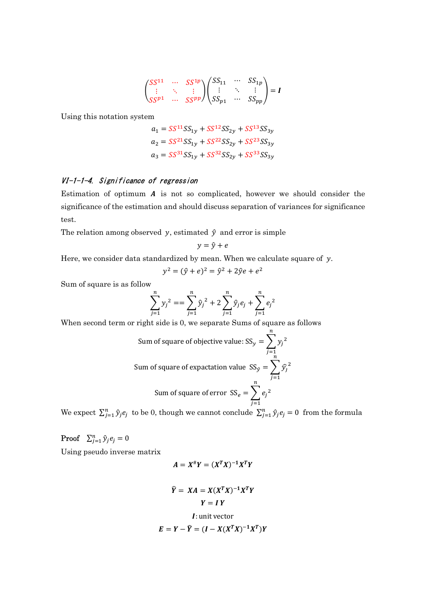$$
\begin{pmatrix} SS^{11} & \cdots & SS^{1p} \\ \vdots & \ddots & \vdots \\ SS^{p1} & \cdots & SS^{pp} \end{pmatrix} \begin{pmatrix} SS_{11} & \cdots & SS_{1p} \\ \vdots & \ddots & \vdots \\ SS_{p1} & \cdots & SS_{pp} \end{pmatrix} = I
$$

Using this notation system

$$
a_1 = SS^{11}SS_{1y} + SS^{12}SS_{2y} + SS^{13}SS_{3y}
$$
  
\n
$$
a_2 = SS^{21}SS_{1y} + SS^{22}SS_{2y} + SS^{23}SS_{3y}
$$
  
\n
$$
a_3 = SS^{31}SS_{1y} + SS^{32}SS_{2y} + SS^{33}SS_{3y}
$$

# VI-1-1-4. Significance of regression

Estimation of optimum  $\boldsymbol{A}$  is not so complicated, however we should consider the significance of the estimation and should discuss separation of variances for significance test.

The relation among observed y, estimated  $\hat{y}$  and error is simple

$$
y = \hat{y} + e
$$

Here, we consider data standardized by mean. When we calculate square of  $y$ .

$$
y^2 = (\hat{y} + e)^2 = \hat{y}^2 + 2\hat{y}e + e^2
$$

Sum of square is as follow

$$
\sum_{j=1}^{n} y_j^2 = \sum_{j=1}^{n} \hat{y}_j^2 + 2 \sum_{j=1}^{n} \hat{y}_j e_j + \sum_{j=1}^{n} e_j^2
$$

 $\boldsymbol{n}$ 

When second term or right side is 0, we separate Sums of square as follows

Sum of square of objective value: 
$$
SS_y = \sum_{j=1}^{n} y_j^2
$$
  
Sum of square of expectation value  $SS_y = \sum_{j=1}^{n} \hat{y}_j^2$   
Sum of square of error  $SS_e = \sum_{j=1}^{n} e_j^2$ 

We expect  $\sum_{j=1}^{n} \hat{y}_j e_j$  to be 0, though we cannot conclude  $\sum_{j=1}^{n} \hat{y}_j e_j = 0$  from the formula

**Proof**  $\sum_{j=1}^n \hat{y}_j e_j = 0$ 

Using pseudo inverse matrix

$$
A = X^{\#}Y = (X^TX)^{-1}X^TY
$$

$$
\widehat{Y} = XA = X(X^TX)^{-1}X^TY
$$

$$
Y = IY
$$

$$
I: \text{unit vector}
$$

$$
E = Y - \widehat{Y} = (I - X(X^TX)^{-1}X^T)Y
$$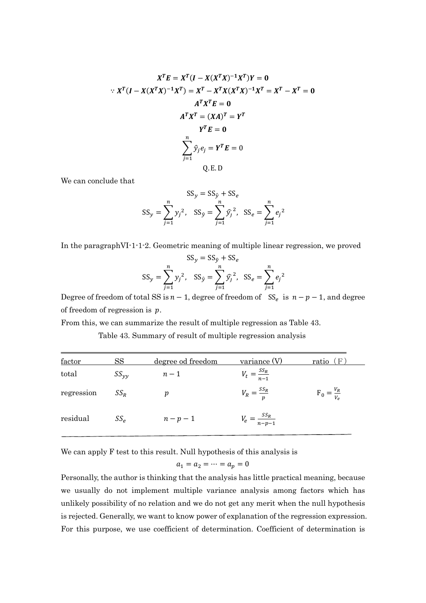$$
XT E = XT (I - X(XT X)-1 XT)Y = 0
$$
  
:.  $XT (I - X(XT X)-1 XT) = XT - XT X(XT X)-1 XT = XT - XT = 0$   
 $AT XT = (XA)T = YT$   
 $YT E = 0$   
 $\sum_{j=1}^{n} \hat{y}_j e_j = YT E = 0$   
Q.E.D

We can conclude that

$$
SS_y = SS_{\hat{y}} + SS_e
$$
  

$$
SS_y = \sum_{j=1}^{n} y_j^2, \quad SS_{\hat{y}} = \sum_{j=1}^{n} \hat{y}_j^2, \quad SS_e = \sum_{j=1}^{n} e_j^2
$$

In the paragraphVI-1-1-2. Geometric meaning of multiple linear regression, we proved

$$
SS_y = SS_{\hat{y}} + SS_e
$$
  

$$
SS_y = \sum_{j=1}^n y_j^2, \quad SS_{\hat{y}} = \sum_{j=1}^n \hat{y}_j^2, \quad SS_e = \sum_{j=1}^n e_j^2
$$

Degree of freedom of total SS is  $n-1$ , degree of freedom of SS<sub>e</sub> is  $n-p-1$ , and degree of freedom of regression is  $p$ .

From this, we can summarize the result of multiple regression as Table 43.

Table 43. Summary of result of multiple regression analysis

| $_{\rm SS}$<br>factor |               | degree od freedom | variance (V)               | ( F<br>ratio            |  |
|-----------------------|---------------|-------------------|----------------------------|-------------------------|--|
| total                 | $SS_{\nu\nu}$ | $n-1$             | $V_t = \frac{SS_R}{n-1}$   |                         |  |
| regression            | $SS_R$        | р                 | $V_R = \frac{SS_R}{n}$     | $F_0 = \frac{V_R}{V_e}$ |  |
| residual              | $SS_{\rho}$   | $n-p-1$           | $V_e = \frac{SS_R}{n-p-1}$ |                         |  |

We can apply F test to this result. Null hypothesis of this analysis is

$$
a_1 = a_2 = \dots = a_p = 0
$$

Personally, the author is thinking that the analysis has little practical meaning, because we usually do not implement multiple variance analysis among factors which has unlikely possibility of no relation and we do not get any merit when the null hypothesis is rejected. Generally, we want to know power of explanation of the regression expression. For this purpose, we use coefficient of determination. Coefficient of determination is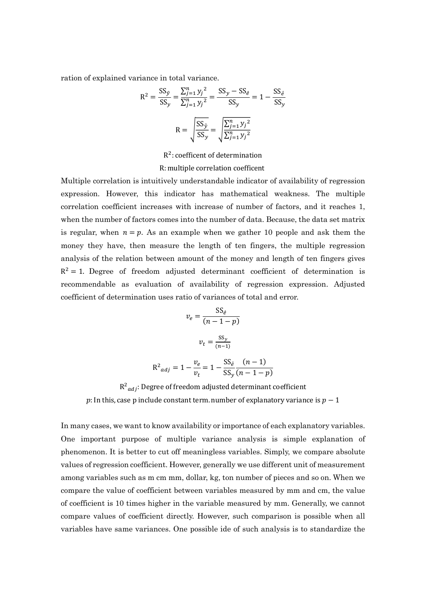ration of explained variance in total variance.

$$
R^{2} = \frac{SS_{\hat{y}}}{SS_{y}} = \frac{\sum_{j=1}^{n} y_{j}^{2}}{\sum_{j=1}^{n} y_{j}^{2}} = \frac{SS_{y} - SS_{\hat{e}}}{SS_{y}} = 1 - \frac{SS_{\hat{e}}}{SS_{y}}
$$

$$
R = \sqrt{\frac{SS_{\hat{y}}}{SS_{y}}} = \sqrt{\frac{\sum_{j=1}^{n} y_{j}^{2}}{\sum_{j=1}^{n} y_{j}^{2}}}
$$

R<sup>2</sup>: coefficent of determination

#### R: multiple correlation coefficent

Multiple correlation is intuitively understandable indicator of availability of regression expression. However, this indicator has mathematical weakness. The multiple correlation coefficient increases with increase of number of factors, and it reaches 1, when the number of factors comes into the number of data. Because, the data set matrix is regular, when  $n = p$ . As an example when we gather 10 people and ask them the money they have, then measure the length of ten fingers, the multiple regression analysis of the relation between amount of the money and length of ten fingers gives  $R^2 = 1$ . Degree of freedom adjusted determinant coefficient of determination is recommendable as evaluation of availability of regression expression. Adjusted coefficient of determination uses ratio of variances of total and error.

$$
v_e = \frac{SS_e}{(n-1-p)}
$$

$$
v_t = \frac{SS_y}{(n-1)}
$$

$$
R^2_{adj} = 1 - \frac{v_e}{v_t} = 1 - \frac{SS_{\hat{e}}}{SS_y} \frac{(n-1)}{(n-1-p)}
$$

 $R^2_{adj}$ : Degree of freedom adjusted determinant coefficient p: In this, case p include constant term. number of explanatory variance is  $p - 1$ 

 $SS_y$ 

 $\overline{(n-1-p)}$ 

In many cases, we want to know availability or importance of each explanatory variables. One important purpose of multiple variance analysis is simple explanation of phenomenon. It is better to cut off meaningless variables. Simply, we compare absolute values of regression coefficient. However, generally we use different unit of measurement among variables such as m cm mm, dollar, kg, ton number of pieces and so on. When we compare the value of coefficient between variables measured by mm and cm, the value of coefficient is 10 times higher in the variable measured by mm. Generally, we cannot compare values of coefficient directly. However, such comparison is possible when all variables have same variances. One possible ide of such analysis is to standardize the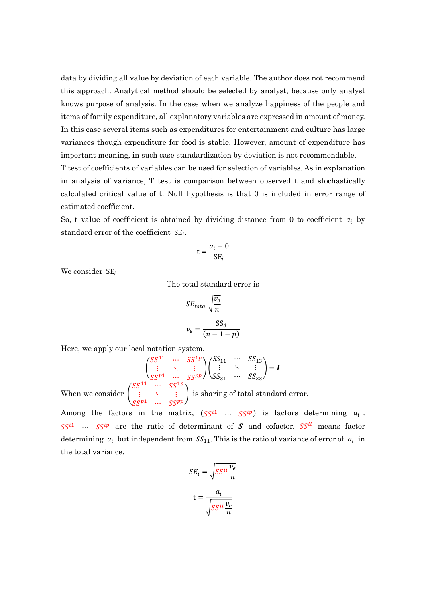data by dividing all value by deviation of each variable. The author does not recommend this approach. Analytical method should be selected by analyst, because only analyst knows purpose of analysis. In the case when we analyze happiness of the people and items of family expenditure, all explanatory variables are expressed in amount of money. In this case several items such as expenditures for entertainment and culture has large variances though expenditure for food is stable. However, amount of expenditure has important meaning, in such case standardization by deviation is not recommendable. T test of coefficients of variables can be used for selection of variables. As in explanation in analysis of variance, T test is comparison between observed t and stochastically calculated critical value of t. Null hypothesis is that 0 is included in error range of estimated coefficient.

So, t value of coefficient is obtained by dividing distance from 0 to coefficient  $a_i$  by standard error of the coefficient  $SE_i$ .

$$
t = \frac{a_i - 0}{SE_i}
$$

We consider  $SE_i$ 

The total standard error is

$$
SE_{total} \sqrt{\frac{v_e}{n}}
$$

$$
v_e = \frac{SS_e}{(n-1-p)}
$$

Here, we apply our local notation system.

$$
\begin{pmatrix}\nS S^{11} & \cdots & S S^{1p} \\
\vdots & \ddots & \vdots \\
S S^{p1} & \cdots & S S^{pp}\n\end{pmatrix}\n\begin{pmatrix}\nSS_{11} & \cdots & SS_{13} \\
\vdots & \ddots & \vdots \\
SS_{31} & \cdots & SS_{33}\n\end{pmatrix} = I
$$

When we consider  $\vert$  $rac{1}{\sqrt{S}}$  ∴  $rac{1}{\sqrt{S}}$  is sharing of total standard error.

Among the factors in the matrix,  $(SS^{i1} \cdots SS^{ip})$  is factors determining  $a_i$ .  $SS^{i1}$  ...  $SS^{ip}$  are the ratio of determinant of S and cofactor. SS<sup>ii</sup> means factor determining  $a_i$  but independent from  $SS_{11}$ . This is the ratio of variance of error of  $a_i$  in the total variance.

$$
SE_i = \sqrt{SS^{ii} \frac{v_e}{n}}
$$

$$
t = \frac{a_i}{\sqrt{SS^{ii} \frac{v_e}{n}}}
$$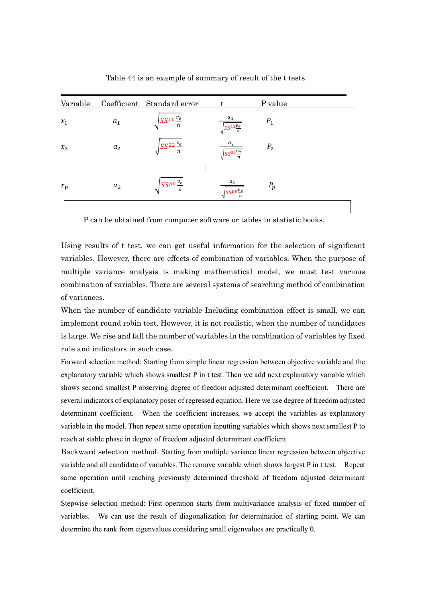| Variable |                    | Coefficient Standard error |                                         | P value        |  |
|----------|--------------------|----------------------------|-----------------------------------------|----------------|--|
| $x_1$    | a <sub>1</sub>     | $SS^{11}\frac{v_e}{n}$     | $a_1$<br>$\sqrt{SS^{11}\frac{v_e}{n}}$  | $P_1$          |  |
| $x_2$    | a <sub>2</sub>     | $SS^{22}\frac{v_e}{n}$     | $\sqrt{\frac{SS^{22}\frac{v_e}{n}}{n}}$ | P <sub>2</sub> |  |
|          |                    | ٠                          |                                         |                |  |
| $x_p$    | $\boldsymbol{a}_2$ | $SS^{pp}\frac{v_e}{n}$     | $s_{S}$ pp <sup>v</sup> e               | $P_p$          |  |

Table 44 is an example of summary of result of the t tests.

P can be obtained from computer software or tables in statistic books.

Using results of t test, we can get useful information for the selection of significant variables. However, there are effects of combination of variables. When the purpose of multiple variance analysis is making mathematical model, we must test various combination of variables. There are several systems of searching method of combination of variances.

When the number of candidate variable Including combination effect is small, we can implement round robin test. However, it is not realistic, when the number of candidates is large. We rise and fall the number of variables in the combination of variables by fixed rule and indicators in such case.

Forward selection method: Starting from simple linear regression between objective variable and the explanatory variable which shows smallest P in t test. Then we add next explanatory variable which shows second smallest P observing degree of freedom adjusted determinant coefficient. There are several indicators of explanatory poser of regressed equation. Here we use degree of freedom adjusted determinant coefficient. When the coefficient increases, we accept the variables as explanatory variable in the model. Then repeat same operation inputting variables which shows next smallest P to reach at stable phase in degree of freedom adjusted determinant coefficient.

Backward selection method: Starting from multiple variance linear regression between objective variable and all candidate of variables. The remove variable which shows largest P in t test. Repeat same operation until reaching previously determined threshold of freedom adjusted determinant coefficient.

Stepwise selection method: First operation starts from multivariance analysis of fixed number of variables. We can use the result of diagonalization for determination of starting point. We can determine the rank from eigenvalues considering small eigenvalues are practically 0.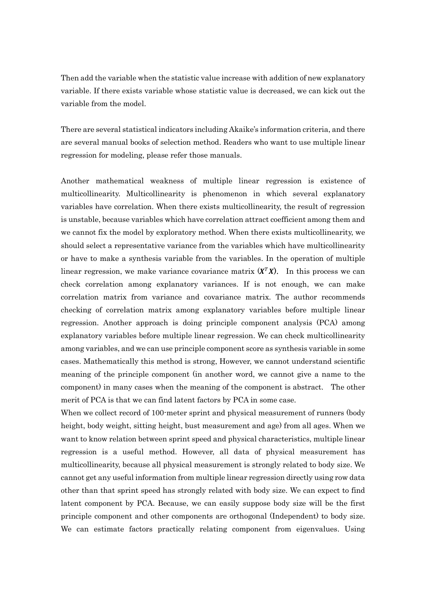Then add the variable when the statistic value increase with addition of new explanatory variable. If there exists variable whose statistic value is decreased, we can kick out the variable from the model.

There are several statistical indicators including Akaike's information criteria, and there are several manual books of selection method. Readers who want to use multiple linear regression for modeling, please refer those manuals.

Another mathematical weakness of multiple linear regression is existence of multicollinearity. Multicollinearity is phenomenon in which several explanatory variables have correlation. When there exists multicollinearity, the result of regression is unstable, because variables which have correlation attract coefficient among them and we cannot fix the model by exploratory method. When there exists multicollinearity, we should select a representative variance from the variables which have multicollinearity or have to make a synthesis variable from the variables. In the operation of multiple linear regression, we make variance covariance matrix  $(X^T X)$ . In this process we can check correlation among explanatory variances. If is not enough, we can make correlation matrix from variance and covariance matrix. The author recommends checking of correlation matrix among explanatory variables before multiple linear regression. Another approach is doing principle component analysis (PCA) among explanatory variables before multiple linear regression. We can check multicollinearity among variables, and we can use principle component score as synthesis variable in some cases. Mathematically this method is strong, However, we cannot understand scientific meaning of the principle component (in another word, we cannot give a name to the component) in many cases when the meaning of the component is abstract. The other merit of PCA is that we can find latent factors by PCA in some case.

When we collect record of 100-meter sprint and physical measurement of runners (body height, body weight, sitting height, bust measurement and age) from all ages. When we want to know relation between sprint speed and physical characteristics, multiple linear regression is a useful method. However, all data of physical measurement has multicollinearity, because all physical measurement is strongly related to body size. We cannot get any useful information from multiple linear regression directly using row data other than that sprint speed has strongly related with body size. We can expect to find latent component by PCA. Because, we can easily suppose body size will be the first principle component and other components are orthogonal (Independent) to body size. We can estimate factors practically relating component from eigenvalues. Using